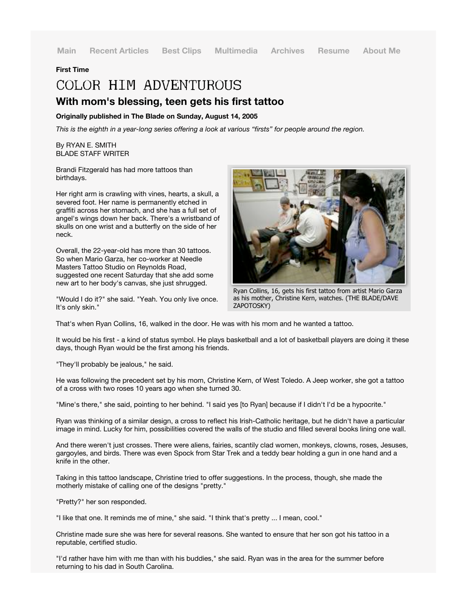**Main Recent Articles Best Clips Multimedia Archives Resume About Me**

## **First Time**

## COLOR HIM ADVENTUROUS **With mom's blessing, teen gets his first tattoo**

## **Originally published in The Blade on Sunday, August 14, 2005**

*This is the eighth in a year-long series offering a look at various "firsts" for people around the region.*

By RYAN E. SMITH BLADE STAFF WRITER

Brandi Fitzgerald has had more tattoos than birthdays.

Her right arm is crawling with vines, hearts, a skull, a severed foot. Her name is permanently etched in graffiti across her stomach, and she has a full set of angel's wings down her back. There's a wristband of skulls on one wrist and a butterfly on the side of her neck.

Overall, the 22-year-old has more than 30 tattoos. So when Mario Garza, her co-worker at Needle Masters Tattoo Studio on Reynolds Road, suggested one recent Saturday that she add some new art to her body's canvas, she just shrugged.

"Would I do it?" she said. "Yeah. You only live once. It's only skin."



Ryan Collins, 16, gets his first tattoo from artist Mario Garza as his mother, Christine Kern, watches. (THE BLADE/DAVE ZAPOTOSKY)

That's when Ryan Collins, 16, walked in the door. He was with his mom and he wanted a tattoo.

It would be his first - a kind of status symbol. He plays basketball and a lot of basketball players are doing it these days, though Ryan would be the first among his friends.

"They'll probably be jealous," he said.

He was following the precedent set by his mom, Christine Kern, of West Toledo. A Jeep worker, she got a tattoo of a cross with two roses 10 years ago when she turned 30.

"Mine's there," she said, pointing to her behind. "I said yes [to Ryan] because if I didn't I'd be a hypocrite."

Ryan was thinking of a similar design, a cross to reflect his Irish-Catholic heritage, but he didn't have a particular image in mind. Lucky for him, possibilities covered the walls of the studio and filled several books lining one wall.

And there weren't just crosses. There were aliens, fairies, scantily clad women, monkeys, clowns, roses, Jesuses, gargoyles, and birds. There was even Spock from Star Trek and a teddy bear holding a gun in one hand and a knife in the other.

Taking in this tattoo landscape, Christine tried to offer suggestions. In the process, though, she made the motherly mistake of calling one of the designs "pretty."

"Pretty?" her son responded.

"I like that one. It reminds me of mine," she said. "I think that's pretty ... I mean, cool."

Christine made sure she was here for several reasons. She wanted to ensure that her son got his tattoo in a reputable, certified studio.

"I'd rather have him with me than with his buddies," she said. Ryan was in the area for the summer before returning to his dad in South Carolina.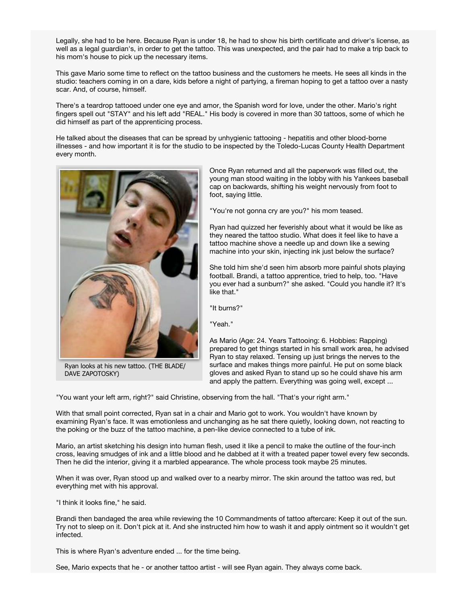Legally, she had to be here. Because Ryan is under 18, he had to show his birth certificate and driver's license, as well as a legal guardian's, in order to get the tattoo. This was unexpected, and the pair had to make a trip back to his mom's house to pick up the necessary items.

This gave Mario some time to reflect on the tattoo business and the customers he meets. He sees all kinds in the studio: teachers coming in on a dare, kids before a night of partying, a fireman hoping to get a tattoo over a nasty scar. And, of course, himself.

There's a teardrop tattooed under one eye and amor, the Spanish word for love, under the other. Mario's right fingers spell out "STAY" and his left add "REAL." His body is covered in more than 30 tattoos, some of which he did himself as part of the apprenticing process.

He talked about the diseases that can be spread by unhygienic tattooing - hepatitis and other blood-borne illnesses - and how important it is for the studio to be inspected by the Toledo-Lucas County Health Department every month.



Ryan looks at his new tattoo. (THE BLADE/ DAVE ZAPOTOSKY)

Once Ryan returned and all the paperwork was filled out, the young man stood waiting in the lobby with his Yankees baseball cap on backwards, shifting his weight nervously from foot to foot, saying little.

"You're not gonna cry are you?" his mom teased.

Ryan had quizzed her feverishly about what it would be like as they neared the tattoo studio. What does it feel like to have a tattoo machine shove a needle up and down like a sewing machine into your skin, injecting ink just below the surface?

She told him she'd seen him absorb more painful shots playing football. Brandi, a tattoo apprentice, tried to help, too. "Have you ever had a sunburn?" she asked. "Could you handle it? It's like that."

"It burns?"

"Yeah."

As Mario (Age: 24. Years Tattooing: 6. Hobbies: Rapping) prepared to get things started in his small work area, he advised Ryan to stay relaxed. Tensing up just brings the nerves to the surface and makes things more painful. He put on some black gloves and asked Ryan to stand up so he could shave his arm and apply the pattern. Everything was going well, except ...

"You want your left arm, right?" said Christine, observing from the hall. "That's your right arm."

With that small point corrected, Ryan sat in a chair and Mario got to work. You wouldn't have known by examining Ryan's face. It was emotionless and unchanging as he sat there quietly, looking down, not reacting to the poking or the buzz of the tattoo machine, a pen-like device connected to a tube of ink.

Mario, an artist sketching his design into human flesh, used it like a pencil to make the outline of the four-inch cross, leaving smudges of ink and a little blood and he dabbed at it with a treated paper towel every few seconds. Then he did the interior, giving it a marbled appearance. The whole process took maybe 25 minutes.

When it was over, Ryan stood up and walked over to a nearby mirror. The skin around the tattoo was red, but everything met with his approval.

"I think it looks fine," he said.

Brandi then bandaged the area while reviewing the 10 Commandments of tattoo aftercare: Keep it out of the sun. Try not to sleep on it. Don't pick at it. And she instructed him how to wash it and apply ointment so it wouldn't get infected.

This is where Ryan's adventure ended ... for the time being.

See, Mario expects that he - or another tattoo artist - will see Ryan again. They always come back.